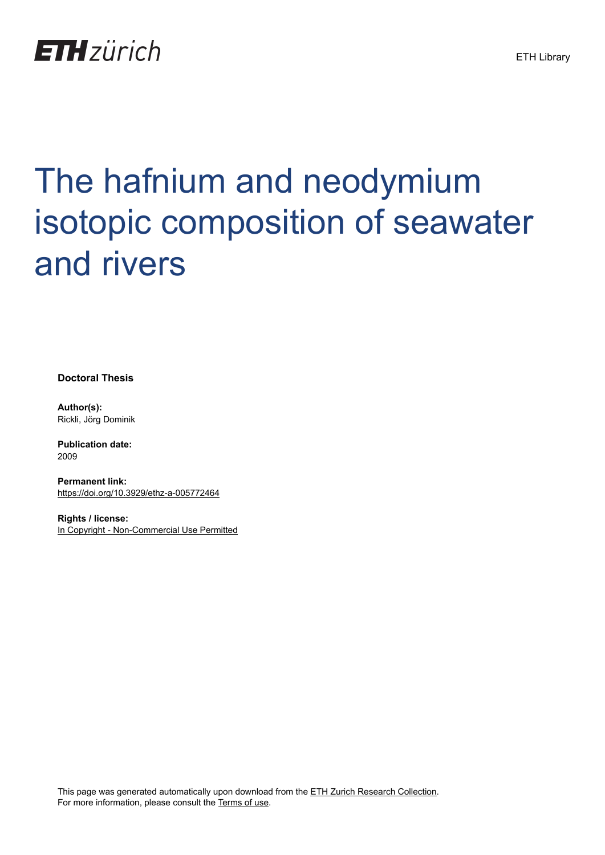

# The hafnium and neodymium isotopic composition of seawater and rivers

**Doctoral Thesis**

**Author(s):** Rickli, Jörg Dominik

**Publication date:** 2009

**Permanent link:** <https://doi.org/10.3929/ethz-a-005772464>

**Rights / license:** [In Copyright - Non-Commercial Use Permitted](http://rightsstatements.org/page/InC-NC/1.0/)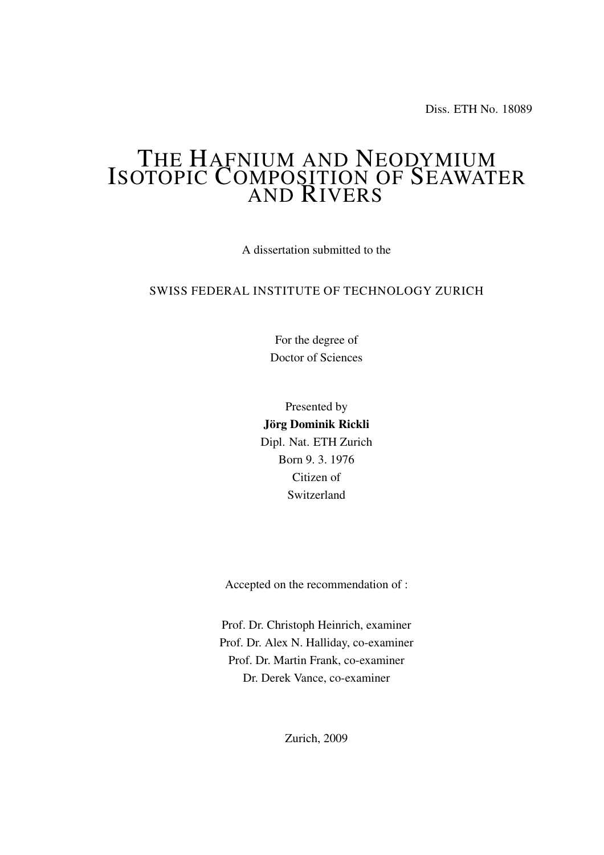Diss. ETH No. 18089

## THE HAFNIUM AND NEODYMIUM ISOTOPIC COMPOSITION OF SEAWATER AND RIVERS

A dissertation submitted to the

#### SWISS FEDERAL INSTITUTE OF TECHNOLOGY ZURICH

For the degree of Doctor of Sciences

Presented by Jörg Dominik Rickli Dipl. Nat. ETH Zurich Born 9. 3. 1976 Citizen of Switzerland

Accepted on the recommendation of :

Prof. Dr. Christoph Heinrich, examiner Prof. Dr. Alex N. Halliday, co-examiner Prof. Dr. Martin Frank, co-examiner Dr. Derek Vance, co-examiner

Zurich, 2009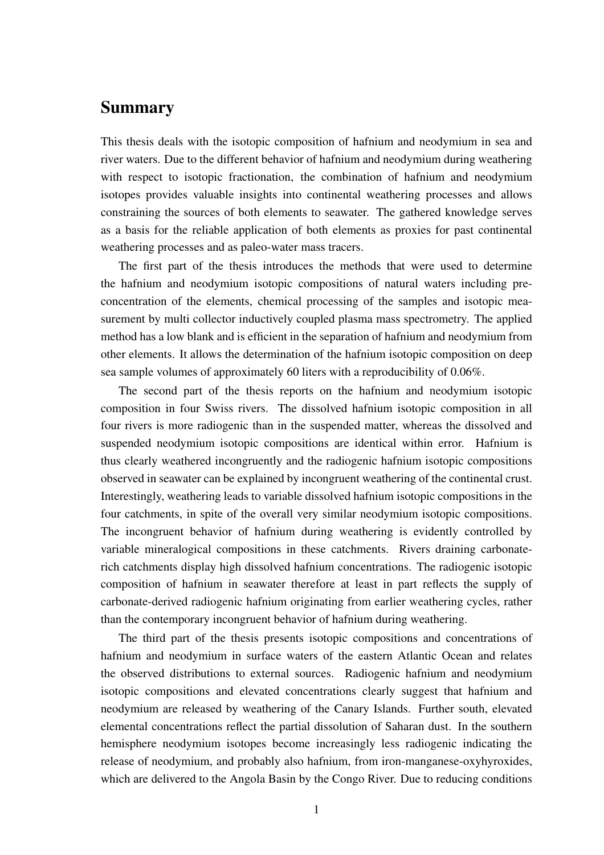## Summary

This thesis deals with the isotopic composition of hafnium and neodymium in sea and river waters. Due to the different behavior of hafnium and neodymium during weathering with respect to isotopic fractionation, the combination of hafnium and neodymium isotopes provides valuable insights into continental weathering processes and allows constraining the sources of both elements to seawater. The gathered knowledge serves as a basis for the reliable application of both elements as proxies for past continental weathering processes and as paleo-water mass tracers.

The first part of the thesis introduces the methods that were used to determine the hafnium and neodymium isotopic compositions of natural waters including preconcentration of the elements, chemical processing of the samples and isotopic measurement by multi collector inductively coupled plasma mass spectrometry. The applied method has a low blank and is efficient in the separation of hafnium and neodymium from other elements. It allows the determination of the hafnium isotopic composition on deep sea sample volumes of approximately 60 liters with a reproducibility of 0.06%.

The second part of the thesis reports on the hafnium and neodymium isotopic composition in four Swiss rivers. The dissolved hafnium isotopic composition in all four rivers is more radiogenic than in the suspended matter, whereas the dissolved and suspended neodymium isotopic compositions are identical within error. Hafnium is thus clearly weathered incongruently and the radiogenic hafnium isotopic compositions observed in seawater can be explained by incongruent weathering of the continental crust. Interestingly, weathering leads to variable dissolved hafnium isotopic compositions in the four catchments, in spite of the overall very similar neodymium isotopic compositions. The incongruent behavior of hafnium during weathering is evidently controlled by variable mineralogical compositions in these catchments. Rivers draining carbonaterich catchments display high dissolved hafnium concentrations. The radiogenic isotopic composition of hafnium in seawater therefore at least in part reflects the supply of carbonate-derived radiogenic hafnium originating from earlier weathering cycles, rather than the contemporary incongruent behavior of hafnium during weathering.

The third part of the thesis presents isotopic compositions and concentrations of hafnium and neodymium in surface waters of the eastern Atlantic Ocean and relates the observed distributions to external sources. Radiogenic hafnium and neodymium isotopic compositions and elevated concentrations clearly suggest that hafnium and neodymium are released by weathering of the Canary Islands. Further south, elevated elemental concentrations reflect the partial dissolution of Saharan dust. In the southern hemisphere neodymium isotopes become increasingly less radiogenic indicating the release of neodymium, and probably also hafnium, from iron-manganese-oxyhyroxides, which are delivered to the Angola Basin by the Congo River. Due to reducing conditions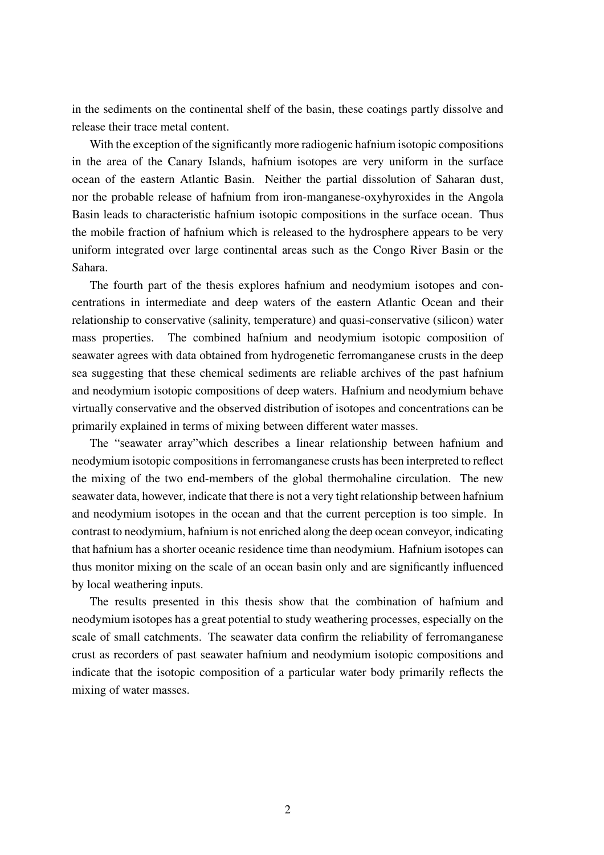in the sediments on the continental shelf of the basin, these coatings partly dissolve and release their trace metal content.

With the exception of the significantly more radiogenic hafnium isotopic compositions in the area of the Canary Islands, hafnium isotopes are very uniform in the surface ocean of the eastern Atlantic Basin. Neither the partial dissolution of Saharan dust, nor the probable release of hafnium from iron-manganese-oxyhyroxides in the Angola Basin leads to characteristic hafnium isotopic compositions in the surface ocean. Thus the mobile fraction of hafnium which is released to the hydrosphere appears to be very uniform integrated over large continental areas such as the Congo River Basin or the Sahara.

The fourth part of the thesis explores hafnium and neodymium isotopes and concentrations in intermediate and deep waters of the eastern Atlantic Ocean and their relationship to conservative (salinity, temperature) and quasi-conservative (silicon) water mass properties. The combined hafnium and neodymium isotopic composition of seawater agrees with data obtained from hydrogenetic ferromanganese crusts in the deep sea suggesting that these chemical sediments are reliable archives of the past hafnium and neodymium isotopic compositions of deep waters. Hafnium and neodymium behave virtually conservative and the observed distribution of isotopes and concentrations can be primarily explained in terms of mixing between different water masses.

The "seawater array"which describes a linear relationship between hafnium and neodymium isotopic compositions in ferromanganese crusts has been interpreted to reflect the mixing of the two end-members of the global thermohaline circulation. The new seawater data, however, indicate that there is not a very tight relationship between hafnium and neodymium isotopes in the ocean and that the current perception is too simple. In contrast to neodymium, hafnium is not enriched along the deep ocean conveyor, indicating that hafnium has a shorter oceanic residence time than neodymium. Hafnium isotopes can thus monitor mixing on the scale of an ocean basin only and are significantly influenced by local weathering inputs.

The results presented in this thesis show that the combination of hafnium and neodymium isotopes has a great potential to study weathering processes, especially on the scale of small catchments. The seawater data confirm the reliability of ferromanganese crust as recorders of past seawater hafnium and neodymium isotopic compositions and indicate that the isotopic composition of a particular water body primarily reflects the mixing of water masses.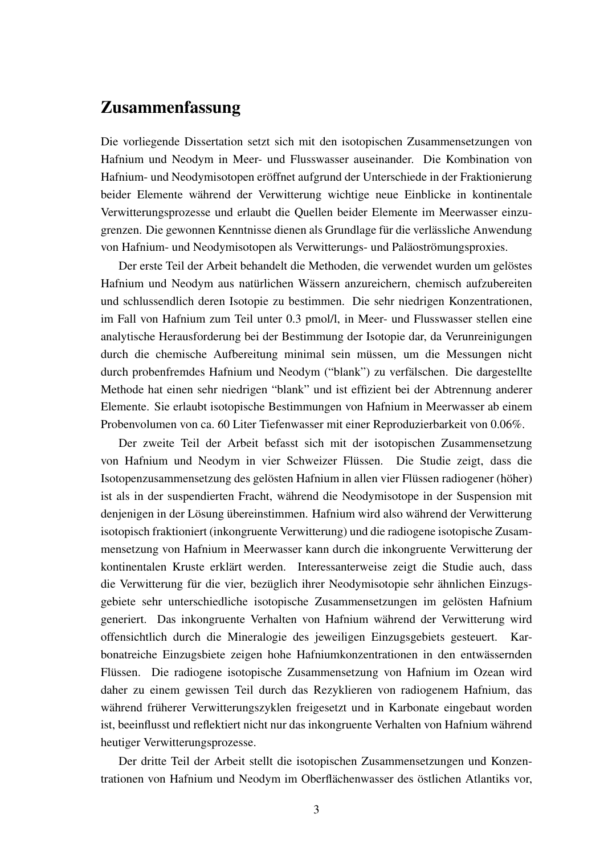### Zusammenfassung

Die vorliegende Dissertation setzt sich mit den isotopischen Zusammensetzungen von Hafnium und Neodym in Meer- und Flusswasser auseinander. Die Kombination von Hafnium- und Neodymisotopen eröffnet aufgrund der Unterschiede in der Fraktionierung beider Elemente während der Verwitterung wichtige neue Einblicke in kontinentale Verwitterungsprozesse und erlaubt die Quellen beider Elemente im Meerwasser einzugrenzen. Die gewonnen Kenntnisse dienen als Grundlage für die verlässliche Anwendung von Hafnium- und Neodymisotopen als Verwitterungs- und Paläoströmungsproxies.

Der erste Teil der Arbeit behandelt die Methoden, die verwendet wurden um gelöstes Hafnium und Neodym aus natürlichen Wässern anzureichern, chemisch aufzubereiten und schlussendlich deren Isotopie zu bestimmen. Die sehr niedrigen Konzentrationen, im Fall von Hafnium zum Teil unter 0.3 pmol/l, in Meer- und Flusswasser stellen eine analytische Herausforderung bei der Bestimmung der Isotopie dar, da Verunreinigungen durch die chemische Aufbereitung minimal sein müssen, um die Messungen nicht durch probenfremdes Hafnium und Neodym ("blank") zu verfälschen. Die dargestellte Methode hat einen sehr niedrigen "blank" und ist effizient bei der Abtrennung anderer Elemente. Sie erlaubt isotopische Bestimmungen von Hafnium in Meerwasser ab einem Probenvolumen von ca. 60 Liter Tiefenwasser mit einer Reproduzierbarkeit von 0.06%.

Der zweite Teil der Arbeit befasst sich mit der isotopischen Zusammensetzung von Hafnium und Neodym in vier Schweizer Flüssen. Die Studie zeigt, dass die Isotopenzusammensetzung des gelösten Hafnium in allen vier Flüssen radiogener (höher) ist als in der suspendierten Fracht, während die Neodymisotope in der Suspension mit denjenigen in der Lösung übereinstimmen. Hafnium wird also während der Verwitterung isotopisch fraktioniert (inkongruente Verwitterung) und die radiogene isotopische Zusammensetzung von Hafnium in Meerwasser kann durch die inkongruente Verwitterung der kontinentalen Kruste erklärt werden. Interessanterweise zeigt die Studie auch, dass die Verwitterung für die vier, bezüglich ihrer Neodymisotopie sehr ähnlichen Einzugsgebiete sehr unterschiedliche isotopische Zusammensetzungen im gelösten Hafnium generiert. Das inkongruente Verhalten von Hafnium während der Verwitterung wird offensichtlich durch die Mineralogie des jeweiligen Einzugsgebiets gesteuert. Karbonatreiche Einzugsbiete zeigen hohe Hafniumkonzentrationen in den entwässernden Flüssen. Die radiogene isotopische Zusammensetzung von Hafnium im Ozean wird daher zu einem gewissen Teil durch das Rezyklieren von radiogenem Hafnium, das während früherer Verwitterungszyklen freigesetzt und in Karbonate eingebaut worden ist, beeinflusst und reflektiert nicht nur das inkongruente Verhalten von Hafnium während heutiger Verwitterungsprozesse.

Der dritte Teil der Arbeit stellt die isotopischen Zusammensetzungen und Konzentrationen von Hafnium und Neodym im Oberflächenwasser des östlichen Atlantiks vor,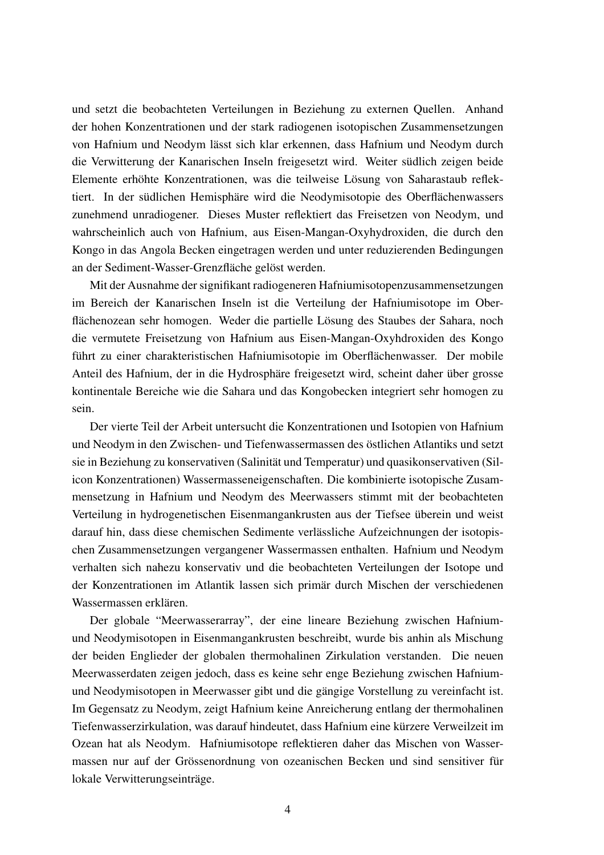und setzt die beobachteten Verteilungen in Beziehung zu externen Quellen. Anhand der hohen Konzentrationen und der stark radiogenen isotopischen Zusammensetzungen von Hafnium und Neodym lässt sich klar erkennen, dass Hafnium und Neodym durch die Verwitterung der Kanarischen Inseln freigesetzt wird. Weiter südlich zeigen beide Elemente erhöhte Konzentrationen, was die teilweise Lösung von Saharastaub reflektiert. In der südlichen Hemisphäre wird die Neodymisotopie des Oberflächenwassers zunehmend unradiogener. Dieses Muster reflektiert das Freisetzen von Neodym, und wahrscheinlich auch von Hafnium, aus Eisen-Mangan-Oxyhydroxiden, die durch den Kongo in das Angola Becken eingetragen werden und unter reduzierenden Bedingungen an der Sediment-Wasser-Grenzfläche gelöst werden.

Mit der Ausnahme der signifikant radiogeneren Hafniumisotopenzusammensetzungen im Bereich der Kanarischen Inseln ist die Verteilung der Hafniumisotope im Oberflächenozean sehr homogen. Weder die partielle Lösung des Staubes der Sahara, noch die vermutete Freisetzung von Hafnium aus Eisen-Mangan-Oxyhdroxiden des Kongo führt zu einer charakteristischen Hafniumisotopie im Oberflächenwasser. Der mobile Anteil des Hafnium, der in die Hydrosphäre freigesetzt wird, scheint daher über grosse kontinentale Bereiche wie die Sahara und das Kongobecken integriert sehr homogen zu sein.

Der vierte Teil der Arbeit untersucht die Konzentrationen und Isotopien von Hafnium und Neodym in den Zwischen- und Tiefenwassermassen des östlichen Atlantiks und setzt sie in Beziehung zu konservativen (Salinität und Temperatur) und quasikonservativen (Silicon Konzentrationen) Wassermasseneigenschaften. Die kombinierte isotopische Zusammensetzung in Hafnium und Neodym des Meerwassers stimmt mit der beobachteten Verteilung in hydrogenetischen Eisenmangankrusten aus der Tiefsee überein und weist darauf hin, dass diese chemischen Sedimente verlässliche Aufzeichnungen der isotopischen Zusammensetzungen vergangener Wassermassen enthalten. Hafnium und Neodym verhalten sich nahezu konservativ und die beobachteten Verteilungen der Isotope und der Konzentrationen im Atlantik lassen sich primär durch Mischen der verschiedenen Wassermassen erklären.

Der globale "Meerwasserarray", der eine lineare Beziehung zwischen Hafniumund Neodymisotopen in Eisenmangankrusten beschreibt, wurde bis anhin als Mischung der beiden Englieder der globalen thermohalinen Zirkulation verstanden. Die neuen Meerwasserdaten zeigen jedoch, dass es keine sehr enge Beziehung zwischen Hafniumund Neodymisotopen in Meerwasser gibt und die gängige Vorstellung zu vereinfacht ist. Im Gegensatz zu Neodym, zeigt Hafnium keine Anreicherung entlang der thermohalinen Tiefenwasserzirkulation, was darauf hindeutet, dass Hafnium eine kürzere Verweilzeit im Ozean hat als Neodym. Hafniumisotope reflektieren daher das Mischen von Wassermassen nur auf der Grössenordnung von ozeanischen Becken und sind sensitiver für lokale Verwitterungseinträge.